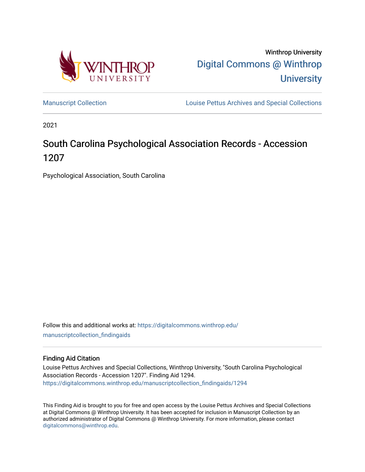

Winthrop University [Digital Commons @ Winthrop](https://digitalcommons.winthrop.edu/)  **University** 

[Manuscript Collection](https://digitalcommons.winthrop.edu/manuscriptcollection_findingaids) **Louise Pettus Archives and Special Collections** 

2021

# South Carolina Psychological Association Records - Accession 1207

Psychological Association, South Carolina

Follow this and additional works at: [https://digitalcommons.winthrop.edu/](https://digitalcommons.winthrop.edu/manuscriptcollection_findingaids?utm_source=digitalcommons.winthrop.edu%2Fmanuscriptcollection_findingaids%2F1294&utm_medium=PDF&utm_campaign=PDFCoverPages) [manuscriptcollection\\_findingaids](https://digitalcommons.winthrop.edu/manuscriptcollection_findingaids?utm_source=digitalcommons.winthrop.edu%2Fmanuscriptcollection_findingaids%2F1294&utm_medium=PDF&utm_campaign=PDFCoverPages) 

#### Finding Aid Citation

Louise Pettus Archives and Special Collections, Winthrop University, "South Carolina Psychological Association Records - Accession 1207". Finding Aid 1294. [https://digitalcommons.winthrop.edu/manuscriptcollection\\_findingaids/1294](https://digitalcommons.winthrop.edu/manuscriptcollection_findingaids/1294?utm_source=digitalcommons.winthrop.edu%2Fmanuscriptcollection_findingaids%2F1294&utm_medium=PDF&utm_campaign=PDFCoverPages) 

This Finding Aid is brought to you for free and open access by the Louise Pettus Archives and Special Collections at Digital Commons @ Winthrop University. It has been accepted for inclusion in Manuscript Collection by an authorized administrator of Digital Commons @ Winthrop University. For more information, please contact [digitalcommons@winthrop.edu](mailto:digitalcommons@winthrop.edu).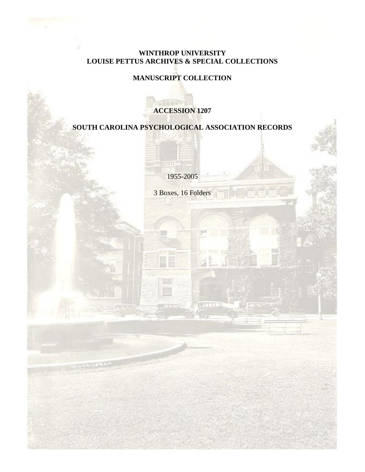### **WINTHROP UNIVERSITY LOUISE PETTUS ARCHIVES & SPECIAL COLLECTIONS**

## **MANUSCRIPT COLLECTION**

### **ACCESSION 1207**

# **SOUTH CAROLINA PSYCHOLOGICAL ASSOCIATION RECORDS**

1955-2005

111

3 Boxes, 16 Folders

n an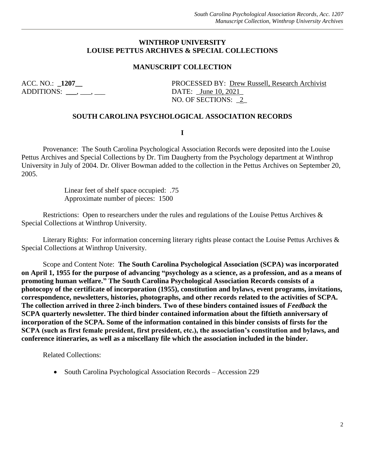#### **WINTHROP UNIVERSITY LOUISE PETTUS ARCHIVES & SPECIAL COLLECTIONS**

#### **MANUSCRIPT COLLECTION**

ADDITIONS: \_\_\_\_, \_\_\_, \_\_\_\_ DATE: <u>June 10, 2021</u>

ACC. NO.: **\_1207\_\_** PROCESSED BY: <u>Drew Russell, Research Archivist</u> NO. OF SECTIONS: \_2\_

#### **SOUTH CAROLINA PSYCHOLOGICAL ASSOCIATION RECORDS**

**I**

Provenance: The South Carolina Psychological Association Records were deposited into the Louise Pettus Archives and Special Collections by Dr. Tim Daugherty from the Psychology department at Winthrop University in July of 2004. Dr. Oliver Bowman added to the collection in the Pettus Archives on September 20, 2005.

> Linear feet of shelf space occupied: .75 Approximate number of pieces: 1500

Restrictions: Open to researchers under the rules and regulations of the Louise Pettus Archives & Special Collections at Winthrop University.

Literary Rights: For information concerning literary rights please contact the Louise Pettus Archives & Special Collections at Winthrop University.

Scope and Content Note: **The South Carolina Psychological Association (SCPA) was incorporated on April 1, 1955 for the purpose of advancing "psychology as a science, as a profession, and as a means of promoting human welfare." The South Carolina Psychological Association Records consists of a photocopy of the certificate of incorporation (1955), constitution and bylaws, event programs, invitations, correspondence, newsletters, histories, photographs, and other records related to the activities of SCPA. The collection arrived in three 2-inch binders. Two of these binders contained issues of** *Feedback* **the SCPA quarterly newsletter. The third binder contained information about the fiftieth anniversary of incorporation of the SCPA. Some of the information contained in this binder consists of firsts for the SCPA (such as first female president, first president, etc.), the association's constitution and bylaws, and conference itineraries, as well as a miscellany file which the association included in the binder.** 

Related Collections:

• South Carolina Psychological Association Records – Accession 229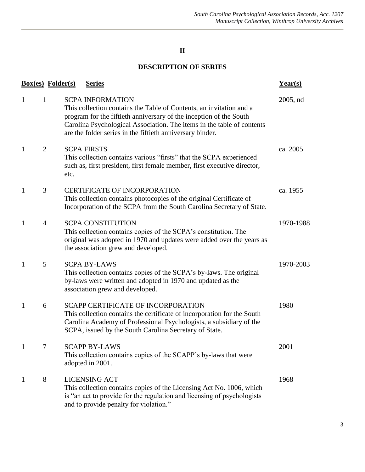# **II**

# **DESCRIPTION OF SERIES**

|                                | <b>Box(es)</b> Folder(s) | <b>Series</b>                                                                                                                                                                                                                                                                                               | Year(s)   |
|--------------------------------|--------------------------|-------------------------------------------------------------------------------------------------------------------------------------------------------------------------------------------------------------------------------------------------------------------------------------------------------------|-----------|
| $\mathbf{1}$<br>$\mathbf{1}$   |                          | <b>SCPA INFORMATION</b><br>This collection contains the Table of Contents, an invitation and a<br>program for the fiftieth anniversary of the inception of the South<br>Carolina Psychological Association. The items in the table of contents<br>are the folder series in the fiftieth anniversary binder. | 2005, nd  |
| $\mathbf{1}$<br>$\overline{2}$ | etc.                     | <b>SCPA FIRSTS</b><br>This collection contains various "firsts" that the SCPA experienced<br>such as, first president, first female member, first executive director,                                                                                                                                       | ca. 2005  |
| 3<br>$\mathbf{1}$              |                          | <b>CERTIFICATE OF INCORPORATION</b><br>This collection contains photocopies of the original Certificate of<br>Incorporation of the SCPA from the South Carolina Secretary of State.                                                                                                                         | ca. 1955  |
| $\mathbf{1}$<br>$\overline{4}$ |                          | <b>SCPA CONSTITUTION</b><br>This collection contains copies of the SCPA's constitution. The<br>original was adopted in 1970 and updates were added over the years as<br>the association grew and developed.                                                                                                 | 1970-1988 |
| $\mathbf{1}$                   | 5                        | <b>SCPA BY-LAWS</b><br>This collection contains copies of the SCPA's by-laws. The original<br>by-laws were written and adopted in 1970 and updated as the<br>association grew and developed.                                                                                                                | 1970-2003 |
| $\mathbf{1}$<br>6              |                          | <b>SCAPP CERTIFICATE OF INCORPORATION</b><br>This collection contains the certificate of incorporation for the South<br>Carolina Academy of Professional Psychologists, a subsidiary of the<br>SCPA, issued by the South Carolina Secretary of State.                                                       | 1980      |
| $\mathbf{1}$                   |                          | <b>SCAPP BY-LAWS</b><br>This collection contains copies of the SCAPP's by-laws that were<br>adopted in 2001.                                                                                                                                                                                                | 2001      |
| 8<br>$\mathbf{1}$              |                          | <b>LICENSING ACT</b><br>This collection contains copies of the Licensing Act No. 1006, which<br>is "an act to provide for the regulation and licensing of psychologists<br>and to provide penalty for violation."                                                                                           | 1968      |